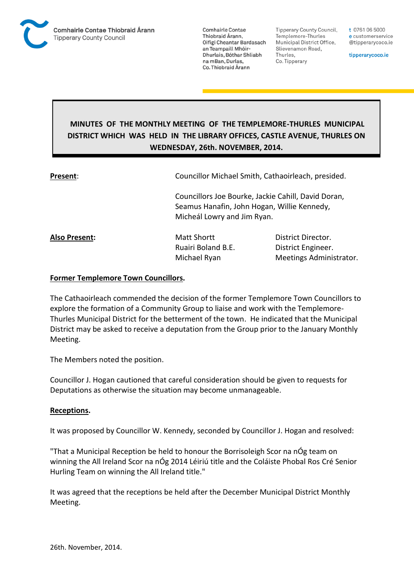

Tipperary County Council. Templemore-Thurles Municipal District Office, Slievenamon Road, Thurles, Co. Tipperary

t 0761 06 5000 e customerservice @tipperarycoco.ie

tipperarycoco.ie

# **MINUTES OF THE MONTHLY MEETING OF THE TEMPLEMORE-THURLES MUNICIPAL DISTRICT WHICH WAS HELD IN THE LIBRARY OFFICES, CASTLE AVENUE, THURLES ON WEDNESDAY, 26th. NOVEMBER, 2014.**

**Present:** Councillor Michael Smith, Cathaoirleach, presided.

Councillors Joe Bourke, Jackie Cahill, David Doran, Seamus Hanafin, John Hogan, Willie Kennedy, Micheál Lowry and Jim Ryan.

**Also Present:** Matt Shortt **District Director.** 

Ruairi Boland B.E. District Engineer. Michael Ryan Meetings Administrator.

## **Former Templemore Town Councillors.**

The Cathaoirleach commended the decision of the former Templemore Town Councillors to explore the formation of a Community Group to liaise and work with the Templemore-Thurles Municipal District for the betterment of the town. He indicated that the Municipal District may be asked to receive a deputation from the Group prior to the January Monthly Meeting.

The Members noted the position.

Councillor J. Hogan cautioned that careful consideration should be given to requests for Deputations as otherwise the situation may become unmanageable.

## **Receptions.**

It was proposed by Councillor W. Kennedy, seconded by Councillor J. Hogan and resolved:

"That a Municipal Reception be held to honour the Borrisoleigh Scor na nÓg team on winning the All Ireland Scor na nÓg 2014 Léiriú title and the Coláiste Phobal Ros Cré Senior Hurling Team on winning the All Ireland title."

It was agreed that the receptions be held after the December Municipal District Monthly Meeting.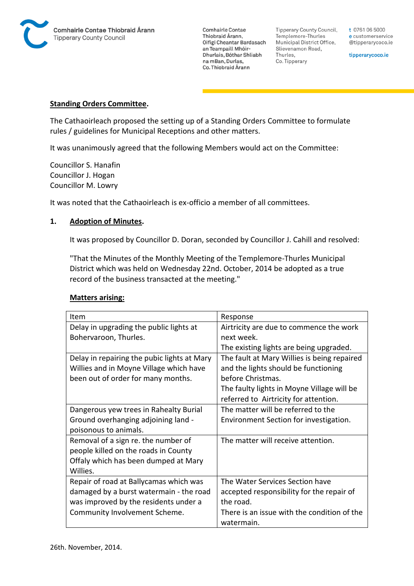

Tipperary County Council, Templemore-Thurles Municipal District Office, Slievenamon Road, Thurles, Co. Tipperary

t 0761 06 5000 e customerservice @tipperarycoco.ie

tipperarycoco.ie

#### **Standing Orders Committee.**

The Cathaoirleach proposed the setting up of a Standing Orders Committee to formulate rules / guidelines for Municipal Receptions and other matters.

It was unanimously agreed that the following Members would act on the Committee:

Councillor S. Hanafin Councillor J. Hogan Councillor M. Lowry

It was noted that the Cathaoirleach is ex-officio a member of all committees.

#### **1. Adoption of Minutes.**

It was proposed by Councillor D. Doran, seconded by Councillor J. Cahill and resolved:

"That the Minutes of the Monthly Meeting of the Templemore-Thurles Municipal District which was held on Wednesday 22nd. October, 2014 be adopted as a true record of the business transacted at the meeting."

| Item                                        | Response                                                  |
|---------------------------------------------|-----------------------------------------------------------|
| Delay in upgrading the public lights at     | Airtricity are due to commence the work                   |
| Bohervaroon, Thurles.                       | next week.                                                |
|                                             | The existing lights are being upgraded.                   |
| Delay in repairing the pubic lights at Mary | The fault at Mary Willies is being repaired               |
| Willies and in Moyne Village which have     | and the lights should be functioning                      |
| been out of order for many months.          | before Christmas.                                         |
|                                             | The faulty lights in Moyne Village will be                |
|                                             | referred to Airtricity for attention.                     |
| Dangerous yew trees in Rahealty Burial      | The matter will be referred to the                        |
| Ground overhanging adjoining land -         | Environment Section for investigation.                    |
| poisonous to animals.                       |                                                           |
| Removal of a sign re. the number of         | The matter will receive attention.                        |
| people killed on the roads in County        |                                                           |
| Offaly which has been dumped at Mary        |                                                           |
| Willies.                                    |                                                           |
| Repair of road at Ballycamas which was      | The Water Services Section have                           |
| damaged by a burst watermain - the road     | accepted responsibility for the repair of                 |
| was improved by the residents under a       | the road.                                                 |
| Community Involvement Scheme.               | There is an issue with the condition of the<br>watermain. |

#### **Matters arising:**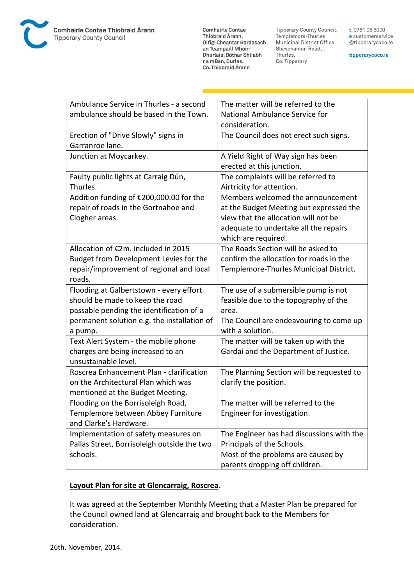

Tipperary County Council, Templemore-Thurles Municipal District Office, Slievenamon Road, Thurles, Co. Tipperary

t 0761 06 5000 e customerservice @tipperarycoco.ie

tipperarycoco.ie

| Ambulance Service in Thurles - a second     | The matter will be referred to the        |
|---------------------------------------------|-------------------------------------------|
| ambulance should be based in the Town.      | National Ambulance Service for            |
|                                             | consideration.                            |
| Erection of "Drive Slowly" signs in         | The Council does not erect such signs.    |
| Garranroe lane.                             |                                           |
| Junction at Moycarkey.                      | A Yield Right of Way sign has been        |
|                                             | erected at this junction.                 |
| Faulty public lights at Carraig Dún,        | The complaints will be referred to        |
| Thurles.                                    | Airtricity for attention.                 |
| Addition funding of €200,000.00 for the     | Members welcomed the announcement         |
| repair of roads in the Gortnahoe and        | at the Budget Meeting but expressed the   |
| Clogher areas.                              | view that the allocation will not be      |
|                                             | adequate to undertake all the repairs     |
|                                             | which are required.                       |
| Allocation of €2m. included in 2015         | The Roads Section will be asked to        |
| Budget from Development Levies for the      | confirm the allocation for roads in the   |
| repair/improvement of regional and local    | Templemore-Thurles Municipal District.    |
| roads.                                      |                                           |
| Flooding at Galbertstown - every effort     | The use of a submersible pump is not      |
| should be made to keep the road             | feasible due to the topography of the     |
| passable pending the identification of a    | area.                                     |
| permanent solution e.g. the installation of | The Council are endeavouring to come up   |
| a pump.                                     | with a solution.                          |
| Text Alert System - the mobile phone        | The matter will be taken up with the      |
| charges are being increased to an           | Gardai and the Department of Justice.     |
| unsustainable level.                        |                                           |
| Roscrea Enhancement Plan - clarification    | The Planning Section will be requested to |
| on the Architectural Plan which was         | clarify the position.                     |
| mentioned at the Budget Meeting.            |                                           |
| Flooding on the Borrisoleigh Road,          | The matter will be referred to the        |
| Templemore between Abbey Furniture          | Engineer for investigation.               |
| and Clarke's Hardware.                      |                                           |
| Implementation of safety measures on        | The Engineer has had discussions with the |
| Pallas Street, Borrisoleigh outside the two | Principals of the Schools.                |
| schools.                                    | Most of the problems are caused by        |
|                                             | parents dropping off children.            |

### **Layout Plan for site at Glencarraig, Roscrea.**

It was agreed at the September Monthly Meeting that a Master Plan be prepared for the Council owned land at Glencarraig and brought back to the Members for consideration.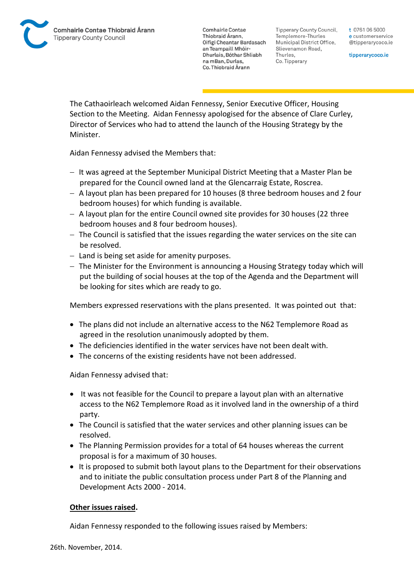Tipperary County Council. Templemore-Thurles Municipal District Office, Slievenamon Road, Thurles, Co. Tipperary

t 0761 06 5000 e customerservice @tipperarycoco.ie

tipperarycoco.ie

The Cathaoirleach welcomed Aidan Fennessy, Senior Executive Officer, Housing Section to the Meeting. Aidan Fennessy apologised for the absence of Clare Curley, Director of Services who had to attend the launch of the Housing Strategy by the Minister.

Aidan Fennessy advised the Members that:

- $-I$  It was agreed at the September Municipal District Meeting that a Master Plan be prepared for the Council owned land at the Glencarraig Estate, Roscrea.
- $-$  A layout plan has been prepared for 10 houses (8 three bedroom houses and 2 four bedroom houses) for which funding is available.
- $-$  A layout plan for the entire Council owned site provides for 30 houses (22 three bedroom houses and 8 four bedroom houses).
- $-$  The Council is satisfied that the issues regarding the water services on the site can be resolved.
- $-$  Land is being set aside for amenity purposes.
- $-$  The Minister for the Environment is announcing a Housing Strategy today which will put the building of social houses at the top of the Agenda and the Department will be looking for sites which are ready to go.

Members expressed reservations with the plans presented. It was pointed out that:

- The plans did not include an alternative access to the N62 Templemore Road as agreed in the resolution unanimously adopted by them.
- The deficiencies identified in the water services have not been dealt with.
- The concerns of the existing residents have not been addressed.

Aidan Fennessy advised that:

- It was not feasible for the Council to prepare a layout plan with an alternative access to the N62 Templemore Road as it involved land in the ownership of a third party.
- The Council is satisfied that the water services and other planning issues can be resolved.
- The Planning Permission provides for a total of 64 houses whereas the current proposal is for a maximum of 30 houses.
- It is proposed to submit both layout plans to the Department for their observations and to initiate the public consultation process under Part 8 of the Planning and Development Acts 2000 - 2014.

## **Other issues raised.**

Aidan Fennessy responded to the following issues raised by Members: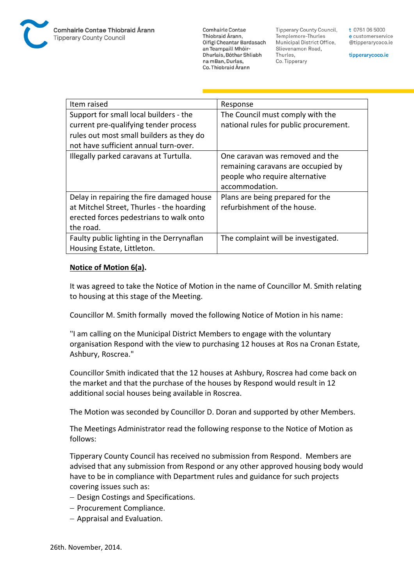**Tipperary County Council,** Templemore-Thurles Municipal District Office, Slievenamon Road, Thurles, Co. Tipperary

t 0761 06 5000 e customerservice @tipperarycoco.ie

tipperarycoco.ie

| Item raised                                                                                                                                                          | Response                                                                                                                  |
|----------------------------------------------------------------------------------------------------------------------------------------------------------------------|---------------------------------------------------------------------------------------------------------------------------|
| Support for small local builders - the<br>current pre-qualifying tender process<br>rules out most small builders as they do<br>not have sufficient annual turn-over. | The Council must comply with the<br>national rules for public procurement.                                                |
| Illegally parked caravans at Turtulla.                                                                                                                               | One caravan was removed and the<br>remaining caravans are occupied by<br>people who require alternative<br>accommodation. |
| Delay in repairing the fire damaged house<br>at Mitchel Street, Thurles - the hoarding<br>erected forces pedestrians to walk onto<br>the road.                       | Plans are being prepared for the<br>refurbishment of the house.                                                           |
| Faulty public lighting in the Derrynaflan<br>Housing Estate, Littleton.                                                                                              | The complaint will be investigated.                                                                                       |

## **Notice of Motion 6(a).**

It was agreed to take the Notice of Motion in the name of Councillor M. Smith relating to housing at this stage of the Meeting.

Councillor M. Smith formally moved the following Notice of Motion in his name:

"I am calling on the Municipal District Members to engage with the voluntary organisation Respond with the view to purchasing 12 houses at Ros na Cronan Estate, Ashbury, Roscrea."

Councillor Smith indicated that the 12 houses at Ashbury, Roscrea had come back on the market and that the purchase of the houses by Respond would result in 12 additional social houses being available in Roscrea.

The Motion was seconded by Councillor D. Doran and supported by other Members.

The Meetings Administrator read the following response to the Notice of Motion as follows:

Tipperary County Council has received no submission from Respond. Members are advised that any submission from Respond or any other approved housing body would have to be in compliance with Department rules and guidance for such projects covering issues such as:

- Design Costings and Specifications.
- Procurement Compliance.
- Appraisal and Evaluation.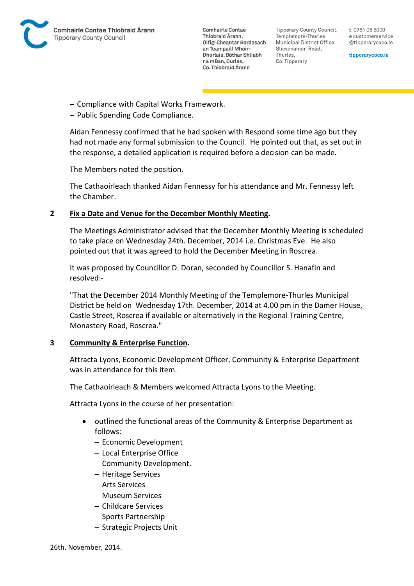

Tipperary County Council. Templemore-Thurles Municipal District Office, Slievenamon Road, Thurles, Co. Tipperary

t 0761 06 5000 e customerservice @tipperarycoco.ie

tipperarycoco.ie

- Compliance with Capital Works Framework.
- Public Spending Code Compliance.

Aidan Fennessy confirmed that he had spoken with Respond some time ago but they had not made any formal submission to the Council. He pointed out that, as set out in the response, a detailed application is required before a decision can be made.

The Members noted the position.

The Cathaoirleach thanked Aidan Fennessy for his attendance and Mr. Fennessy left the Chamber.

## **2 Fix a Date and Venue for the December Monthly Meeting.**

The Meetings Administrator advised that the December Monthly Meeting is scheduled to take place on Wednesday 24th. December, 2014 i.e. Christmas Eve. He also pointed out that it was agreed to hold the December Meeting in Roscrea.

It was proposed by Councillor D. Doran, seconded by Councillor S. Hanafin and resolved:-

"That the December 2014 Monthly Meeting of the Templemore-Thurles Municipal District be held on Wednesday 17th. December, 2014 at 4.00 pm in the Damer House, Castle Street, Roscrea if available or alternatively in the Regional Training Centre, Monastery Road, Roscrea."

#### **3 Community & Enterprise Function.**

Attracta Lyons, Economic Development Officer, Community & Enterprise Department was in attendance for this item.

The Cathaoirleach & Members welcomed Attracta Lyons to the Meeting.

Attracta Lyons in the course of her presentation:

- outlined the functional areas of the Community & Enterprise Department as follows:
	- Economic Development
	- Local Enterprise Office
	- Community Development.
	- Heritage Services
	- Arts Services
	- Museum Services
	- Childcare Services
	- Sports Partnership
	- Strategic Projects Unit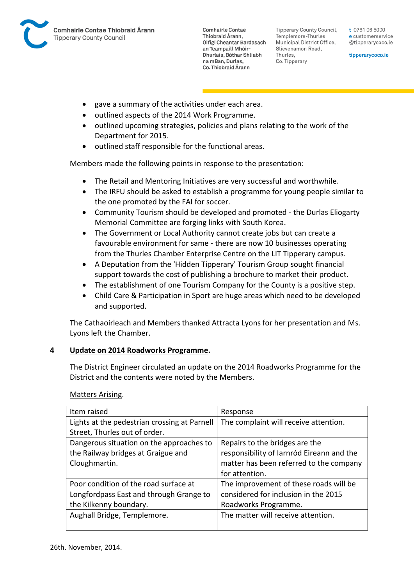

**Tipperary County Council,** Templemore-Thurles Municipal District Office, Slievenamon Road, Thurles, Co. Tipperary

t 0761 06 5000 e customerservice @tipperarycoco.ie

tipperarycoco.ie

- gave a summary of the activities under each area.
- outlined aspects of the 2014 Work Programme.
- outlined upcoming strategies, policies and plans relating to the work of the Department for 2015.
- $\bullet$  outlined staff responsible for the functional areas.

Members made the following points in response to the presentation:

- The Retail and Mentoring Initiatives are very successful and worthwhile.
- The IRFU should be asked to establish a programme for young people similar to the one promoted by the FAI for soccer.
- Community Tourism should be developed and promoted the Durlas Eliogarty Memorial Committee are forging links with South Korea.
- The Government or Local Authority cannot create jobs but can create a favourable environment for same - there are now 10 businesses operating from the Thurles Chamber Enterprise Centre on the LIT Tipperary campus.
- A Deputation from the 'Hidden Tipperary' Tourism Group sought financial support towards the cost of publishing a brochure to market their product.
- The establishment of one Tourism Company for the County is a positive step.
- Child Care & Participation in Sport are huge areas which need to be developed and supported.

The Cathaoirleach and Members thanked Attracta Lyons for her presentation and Ms. Lyons left the Chamber.

## **4 Update on 2014 Roadworks Programme.**

The District Engineer circulated an update on the 2014 Roadworks Programme for the District and the contents were noted by the Members.

Matters Arising.

| Item raised                                  | Response                                  |
|----------------------------------------------|-------------------------------------------|
| Lights at the pedestrian crossing at Parnell | The complaint will receive attention.     |
| Street, Thurles out of order.                |                                           |
| Dangerous situation on the approaches to     | Repairs to the bridges are the            |
| the Railway bridges at Graigue and           | responsibility of Iarnród Eireann and the |
| Cloughmartin.                                | matter has been referred to the company   |
|                                              | for attention.                            |
| Poor condition of the road surface at        | The improvement of these roads will be    |
| Longfordpass East and through Grange to      | considered for inclusion in the 2015      |
| the Kilkenny boundary.                       | Roadworks Programme.                      |
| Aughall Bridge, Templemore.                  | The matter will receive attention.        |
|                                              |                                           |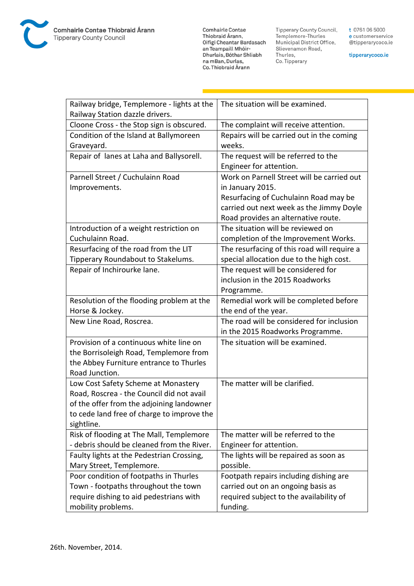

**Comhairle Contae** Commante Contae<br>Thiobraid Árann,<br>Oifigí Cheantar Bardasach an Teampaill Mhóir-Dhurlais, Bóthar Shliabh na mBan, Durlas,<br>Co. Thiobraid Árann

Tipperary County Council,<br>Templemore-Thurles<br>Municipal District Office, Slievenamon Road, Thurles, Co. Tipperary

t 0761 06 5000 e customerservice @tipperarycoco.ie

tipperarycoco.ie

| Railway bridge, Templemore - lights at the | The situation will be examined.             |
|--------------------------------------------|---------------------------------------------|
| Railway Station dazzle drivers.            |                                             |
| Cloone Cross - the Stop sign is obscured.  | The complaint will receive attention.       |
| Condition of the Island at Ballymoreen     | Repairs will be carried out in the coming   |
| Graveyard.                                 | weeks.                                      |
| Repair of lanes at Laha and Ballysorell.   | The request will be referred to the         |
|                                            | Engineer for attention.                     |
| Parnell Street / Cuchulainn Road           | Work on Parnell Street will be carried out  |
| Improvements.                              | in January 2015.                            |
|                                            | Resurfacing of Cuchulainn Road may be       |
|                                            | carried out next week as the Jimmy Doyle    |
|                                            | Road provides an alternative route.         |
| Introduction of a weight restriction on    | The situation will be reviewed on           |
| Cuchulainn Road.                           | completion of the Improvement Works.        |
| Resurfacing of the road from the LIT       | The resurfacing of this road will require a |
| Tipperary Roundabout to Stakelums.         | special allocation due to the high cost.    |
| Repair of Inchirourke lane.                | The request will be considered for          |
|                                            | inclusion in the 2015 Roadworks             |
|                                            | Programme.                                  |
| Resolution of the flooding problem at the  | Remedial work will be completed before      |
| Horse & Jockey.                            | the end of the year.                        |
| New Line Road, Roscrea.                    | The road will be considered for inclusion   |
|                                            | in the 2015 Roadworks Programme.            |
| Provision of a continuous white line on    | The situation will be examined.             |
| the Borrisoleigh Road, Templemore from     |                                             |
| the Abbey Furniture entrance to Thurles    |                                             |
| Road Junction.                             |                                             |
| Low Cost Safety Scheme at Monastery        | The matter will be clarified.               |
| Road, Roscrea - the Council did not avail  |                                             |
| of the offer from the adjoining landowner  |                                             |
| to cede land free of charge to improve the |                                             |
| sightline.                                 |                                             |
| Risk of flooding at The Mall, Templemore   | The matter will be referred to the          |
| - debris should be cleaned from the River. | Engineer for attention.                     |
| Faulty lights at the Pedestrian Crossing,  | The lights will be repaired as soon as      |
| Mary Street, Templemore.                   | possible.                                   |
| Poor condition of footpaths in Thurles     | Footpath repairs including dishing are      |
| Town - footpaths throughout the town       | carried out on an ongoing basis as          |
| require dishing to aid pedestrians with    | required subject to the availability of     |
| mobility problems.                         | funding.                                    |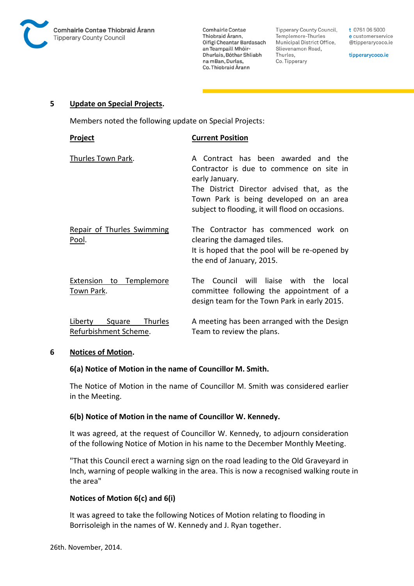

Tipperary County Council, Templemore-Thurles Municipal District Office, Slievenamon Road, Thurles, Co. Tipperary

t 0761 06 5000 e customerservice @tipperarycoco.ie

tipperarycoco.ie

#### **5 Update on Special Projects.**

Members noted the following update on Special Projects:

| Project                                               | <b>Current Position</b>                                                                                                                                                                                                                           |
|-------------------------------------------------------|---------------------------------------------------------------------------------------------------------------------------------------------------------------------------------------------------------------------------------------------------|
| Thurles Town Park.                                    | Contract has been awarded and the<br>A<br>Contractor is due to commence on site in<br>early January.<br>The District Director advised that, as the<br>Town Park is being developed on an area<br>subject to flooding, it will flood on occasions. |
| <b>Repair of Thurles Swimming</b><br>Pool.            | The Contractor has commenced work on<br>clearing the damaged tiles.<br>It is hoped that the pool will be re-opened by<br>the end of January, 2015.                                                                                                |
| Extension to Templemore<br>Town Park.                 | Council will liaise with the local<br>The l<br>committee following the appointment of a<br>design team for the Town Park in early 2015.                                                                                                           |
| Liberty<br>Square<br>Thurles<br>Refurbishment Scheme. | A meeting has been arranged with the Design<br>Team to review the plans.                                                                                                                                                                          |

## **6 Notices of Motion.**

## **6(a) Notice of Motion in the name of Councillor M. Smith.**

The Notice of Motion in the name of Councillor M. Smith was considered earlier in the Meeting.

## **6(b) Notice of Motion in the name of Councillor W. Kennedy.**

It was agreed, at the request of Councillor W. Kennedy, to adjourn consideration of the following Notice of Motion in his name to the December Monthly Meeting.

"That this Council erect a warning sign on the road leading to the Old Graveyard in Inch, warning of people walking in the area. This is now a recognised walking route in the area"

## **Notices of Motion 6(c) and 6(i)**

It was agreed to take the following Notices of Motion relating to flooding in Borrisoleigh in the names of W. Kennedy and J. Ryan together.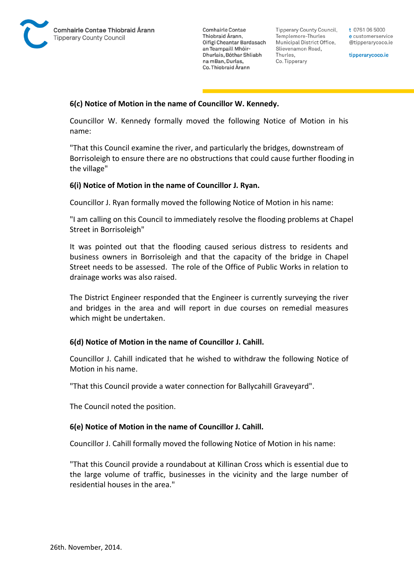

Tipperary County Council. Templemore-Thurles Municipal District Office, Slievenamon Road, Thurles, Co. Tipperary

t 0761 06 5000 e customerservice @tipperarycoco.ie

tipperarycoco.ie

## **6(c) Notice of Motion in the name of Councillor W. Kennedy.**

Councillor W. Kennedy formally moved the following Notice of Motion in his name:

"That this Council examine the river, and particularly the bridges, downstream of Borrisoleigh to ensure there are no obstructions that could cause further flooding in the village"

#### **6(i) Notice of Motion in the name of Councillor J. Ryan.**

Councillor J. Ryan formally moved the following Notice of Motion in his name:

"I am calling on this Council to immediately resolve the flooding problems at Chapel Street in Borrisoleigh"

It was pointed out that the flooding caused serious distress to residents and business owners in Borrisoleigh and that the capacity of the bridge in Chapel Street needs to be assessed. The role of the Office of Public Works in relation to drainage works was also raised.

The District Engineer responded that the Engineer is currently surveying the river and bridges in the area and will report in due courses on remedial measures which might be undertaken.

#### **6(d) Notice of Motion in the name of Councillor J. Cahill.**

Councillor J. Cahill indicated that he wished to withdraw the following Notice of Motion in his name.

"That this Council provide a water connection for Ballycahill Graveyard".

The Council noted the position.

#### **6(e) Notice of Motion in the name of Councillor J. Cahill.**

Councillor J. Cahill formally moved the following Notice of Motion in his name:

"That this Council provide a roundabout at Killinan Cross which is essential due to the large volume of traffic, businesses in the vicinity and the large number of residential houses in the area."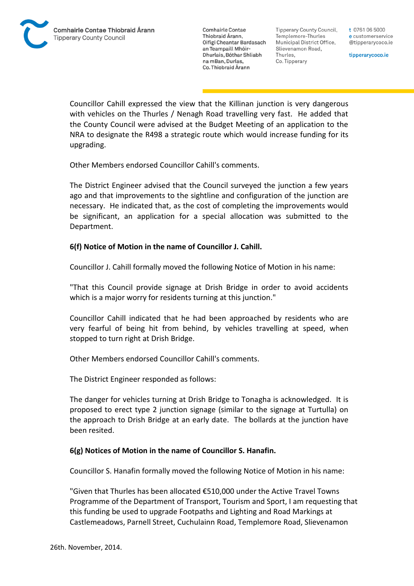Tipperary County Council. Templemore-Thurles Municipal District Office, Slievenamon Road, Thurles, Co. Tipperary

t 0761 06 5000 e customerservice @tipperarycoco.ie

tipperarycoco.ie

Councillor Cahill expressed the view that the Killinan junction is very dangerous with vehicles on the Thurles / Nenagh Road travelling very fast. He added that the County Council were advised at the Budget Meeting of an application to the NRA to designate the R498 a strategic route which would increase funding for its upgrading.

Other Members endorsed Councillor Cahill's comments.

The District Engineer advised that the Council surveyed the junction a few years ago and that improvements to the sightline and configuration of the junction are necessary. He indicated that, as the cost of completing the improvements would be significant, an application for a special allocation was submitted to the Department.

## **6(f) Notice of Motion in the name of Councillor J. Cahill.**

Councillor J. Cahill formally moved the following Notice of Motion in his name:

"That this Council provide signage at Drish Bridge in order to avoid accidents which is a major worry for residents turning at this junction."

Councillor Cahill indicated that he had been approached by residents who are very fearful of being hit from behind, by vehicles travelling at speed, when stopped to turn right at Drish Bridge.

Other Members endorsed Councillor Cahill's comments.

The District Engineer responded as follows:

The danger for vehicles turning at Drish Bridge to Tonagha is acknowledged. It is proposed to erect type 2 junction signage (similar to the signage at Turtulla) on the approach to Drish Bridge at an early date. The bollards at the junction have been resited.

## **6(g) Notices of Motion in the name of Councillor S. Hanafin.**

Councillor S. Hanafin formally moved the following Notice of Motion in his name:

"Given that Thurles has been allocated €510,000 under the Active Travel Towns Programme of the Department of Transport, Tourism and Sport, I am requesting that this funding be used to upgrade Footpaths and Lighting and Road Markings at Castlemeadows, Parnell Street, Cuchulainn Road, Templemore Road, Slievenamon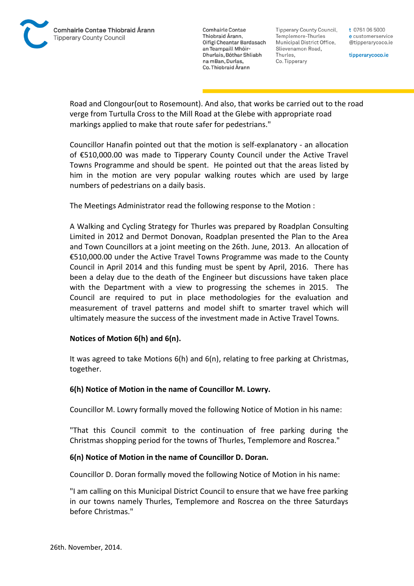

Tipperary County Council. Templemore-Thurles Municipal District Office, Slievenamon Road, Thurles, Co. Tipperary

t 0761 06 5000 e customerservice @tipperarycoco.ie

tipperarycoco.ie

Road and Clongour(out to Rosemount). And also, that works be carried out to the road verge from Turtulla Cross to the Mill Road at the Glebe with appropriate road markings applied to make that route safer for pedestrians."

Councillor Hanafin pointed out that the motion is self-explanatory - an allocation of €510,000.00 was made to Tipperary County Council under the Active Travel Towns Programme and should be spent. He pointed out that the areas listed by him in the motion are very popular walking routes which are used by large numbers of pedestrians on a daily basis.

The Meetings Administrator read the following response to the Motion :

A Walking and Cycling Strategy for Thurles was prepared by Roadplan Consulting Limited in 2012 and Dermot Donovan, Roadplan presented the Plan to the Area and Town Councillors at a joint meeting on the 26th. June, 2013. An allocation of €510,000.00 under the Active Travel Towns Programme was made to the County Council in April 2014 and this funding must be spent by April, 2016. There has been a delay due to the death of the Engineer but discussions have taken place with the Department with a view to progressing the schemes in 2015. The Council are required to put in place methodologies for the evaluation and measurement of travel patterns and model shift to smarter travel which will ultimately measure the success of the investment made in Active Travel Towns.

## **Notices of Motion 6(h) and 6(n).**

It was agreed to take Motions 6(h) and 6(n), relating to free parking at Christmas, together.

## **6(h) Notice of Motion in the name of Councillor M. Lowry.**

Councillor M. Lowry formally moved the following Notice of Motion in his name:

"That this Council commit to the continuation of free parking during the Christmas shopping period for the towns of Thurles, Templemore and Roscrea."

## **6(n) Notice of Motion in the name of Councillor D. Doran.**

Councillor D. Doran formally moved the following Notice of Motion in his name:

"I am calling on this Municipal District Council to ensure that we have free parking in our towns namely Thurles, Templemore and Roscrea on the three Saturdays before Christmas."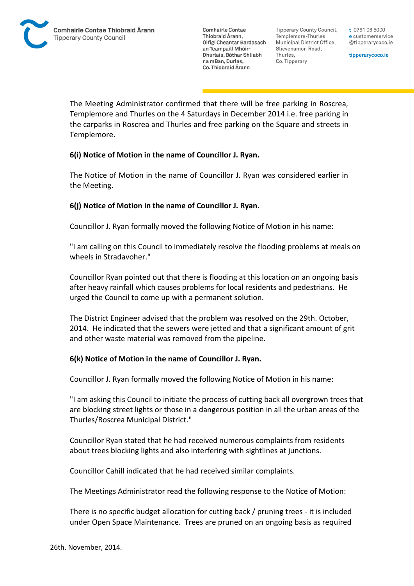Tipperary County Council. Templemore-Thurles Municipal District Office, Slievenamon Road, Thurles, Co. Tipperary

t 0761 06 5000 e customerservice @tipperarycoco.ie

tipperarycoco.ie

The Meeting Administrator confirmed that there will be free parking in Roscrea, Templemore and Thurles on the 4 Saturdays in December 2014 i.e. free parking in the carparks in Roscrea and Thurles and free parking on the Square and streets in Templemore.

## **6(i) Notice of Motion in the name of Councillor J. Ryan.**

The Notice of Motion in the name of Councillor J. Ryan was considered earlier in the Meeting.

## **6(j) Notice of Motion in the name of Councillor J. Ryan.**

Councillor J. Ryan formally moved the following Notice of Motion in his name:

"I am calling on this Council to immediately resolve the flooding problems at meals on wheels in Stradavoher."

Councillor Ryan pointed out that there is flooding at this location on an ongoing basis after heavy rainfall which causes problems for local residents and pedestrians. He urged the Council to come up with a permanent solution.

The District Engineer advised that the problem was resolved on the 29th. October, 2014. He indicated that the sewers were jetted and that a significant amount of grit and other waste material was removed from the pipeline.

## **6(k) Notice of Motion in the name of Councillor J. Ryan.**

Councillor J. Ryan formally moved the following Notice of Motion in his name:

"I am asking this Council to initiate the process of cutting back all overgrown trees that are blocking street lights or those in a dangerous position in all the urban areas of the Thurles/Roscrea Municipal District."

Councillor Ryan stated that he had received numerous complaints from residents about trees blocking lights and also interfering with sightlines at junctions.

Councillor Cahill indicated that he had received similar complaints.

The Meetings Administrator read the following response to the Notice of Motion:

There is no specific budget allocation for cutting back / pruning trees - it is included under Open Space Maintenance. Trees are pruned on an ongoing basis as required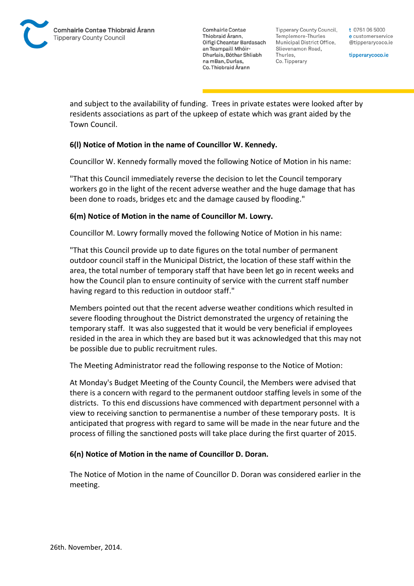Tipperary County Council. Templemore-Thurles Municipal District Office, Slievenamon Road, Thurles, Co. Tipperary

t 0761 06 5000 e customerservice @tipperarycoco.ie

tipperarycoco.ie

and subject to the availability of funding. Trees in private estates were looked after by residents associations as part of the upkeep of estate which was grant aided by the Town Council.

## **6(l) Notice of Motion in the name of Councillor W. Kennedy.**

Councillor W. Kennedy formally moved the following Notice of Motion in his name:

"That this Council immediately reverse the decision to let the Council temporary workers go in the light of the recent adverse weather and the huge damage that has been done to roads, bridges etc and the damage caused by flooding."

## **6(m) Notice of Motion in the name of Councillor M. Lowry.**

Councillor M. Lowry formally moved the following Notice of Motion in his name:

"That this Council provide up to date figures on the total number of permanent outdoor council staff in the Municipal District, the location of these staff within the area, the total number of temporary staff that have been let go in recent weeks and how the Council plan to ensure continuity of service with the current staff number having regard to this reduction in outdoor staff."

Members pointed out that the recent adverse weather conditions which resulted in severe flooding throughout the District demonstrated the urgency of retaining the temporary staff. It was also suggested that it would be very beneficial if employees resided in the area in which they are based but it was acknowledged that this may not be possible due to public recruitment rules.

The Meeting Administrator read the following response to the Notice of Motion:

At Monday's Budget Meeting of the County Council, the Members were advised that there is a concern with regard to the permanent outdoor staffing levels in some of the districts. To this end discussions have commenced with department personnel with a view to receiving sanction to permanentise a number of these temporary posts. It is anticipated that progress with regard to same will be made in the near future and the process of filling the sanctioned posts will take place during the first quarter of 2015.

## **6(n) Notice of Motion in the name of Councillor D. Doran.**

The Notice of Motion in the name of Councillor D. Doran was considered earlier in the meeting.